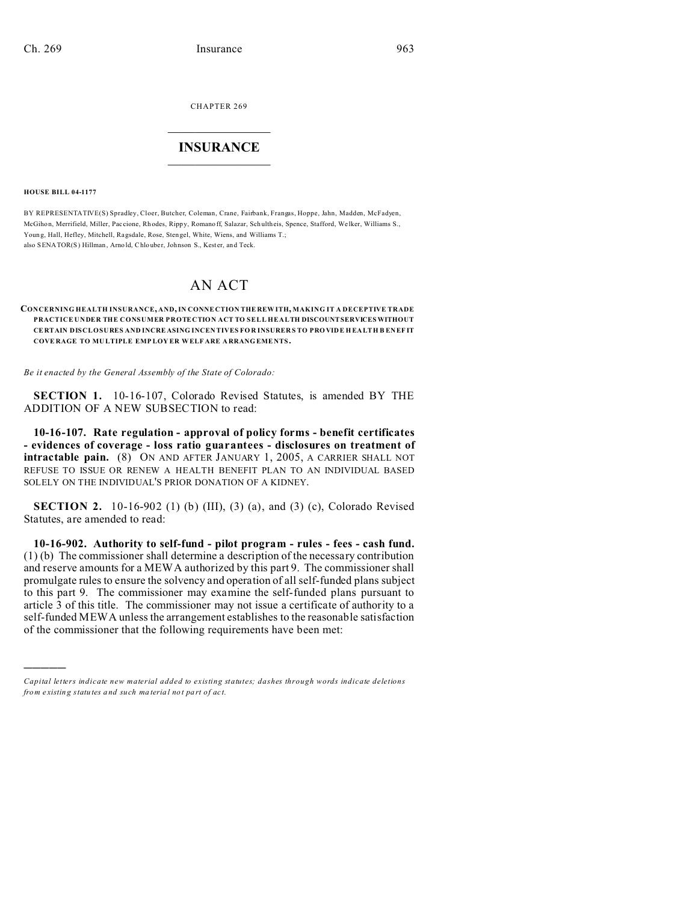CHAPTER 269  $\overline{\phantom{a}}$  , where  $\overline{\phantom{a}}$ 

## **INSURANCE**  $\_$   $\_$   $\_$   $\_$   $\_$   $\_$   $\_$   $\_$

**HOUSE BILL 04-1177**

)))))

BY REPRESENTATIVE(S) Spradley, Cloer, Butcher, Coleman, Crane, Fairbank, Frangas, Hoppe, Jahn, Madden, McFadyen, McGihon, Merrifield, Miller, Pac cione, Rh odes, Ripp y, Romano ff, Salazar, Sch ultheis, Spence, Stafford, We lker, Williams S., Young, Hall, Hefley, Mitchell, Ragsdale, Rose, Stengel, White, Wiens, and Williams T.; also SENATOR(S) Hillman, Arno ld, Chlouber, Johnson S., Kester, and Teck.

# AN ACT

#### **CONCERNING HEALTH INSURANCE, AND, IN CONNE CTION THE REW ITH, MAKING IT A DECEPTIVE TRADE PRACTICE UNDER THE CONSUMER PROTECTION ACT TO SELL HEALTH DISCOUNTSERVICES WITHOUT CE RTAIN DISCLOSURES AND INCRE ASING INCEN TIVES FO R INSURER S TO PRO VIDE H EA LTH B EN EF IT COVE RAGE TO MU LTIPLE EMP LOY ER WELF ARE A RRANG EME NTS.**

*Be it enacted by the General Assembly of the State of Colorado:*

**SECTION 1.** 10-16-107, Colorado Revised Statutes, is amended BY THE ADDITION OF A NEW SUBSECTION to read:

**10-16-107. Rate regulation - approval of policy forms - benefit certificates - evidences of coverage - loss ratio guarantees - disclosures on treatment of intractable pain.** (8) ON AND AFTER JANUARY 1, 2005, A CARRIER SHALL NOT REFUSE TO ISSUE OR RENEW A HEALTH BENEFIT PLAN TO AN INDIVIDUAL BASED SOLELY ON THE INDIVIDUAL'S PRIOR DONATION OF A KIDNEY.

**SECTION 2.** 10-16-902 (1) (b) (III), (3) (a), and (3) (c), Colorado Revised Statutes, are amended to read:

**10-16-902. Authority to self-fund - pilot program - rules - fees - cash fund.** (1) (b) The commissioner shall determine a description of the necessary contribution and reserve amounts for a MEWA authorized by this part 9. The commissioner shall promulgate rules to ensure the solvency and operation of all self-funded plans subject to this part 9. The commissioner may examine the self-funded plans pursuant to article 3 of this title. The commissioner may not issue a certificate of authority to a self-funded MEWA unless the arrangement establishes to the reasonable satisfaction of the commissioner that the following requirements have been met:

*Capital letters indicate new material added to existing statutes; dashes through words indicate deletions from e xistin g statu tes a nd such ma teria l no t pa rt of ac t.*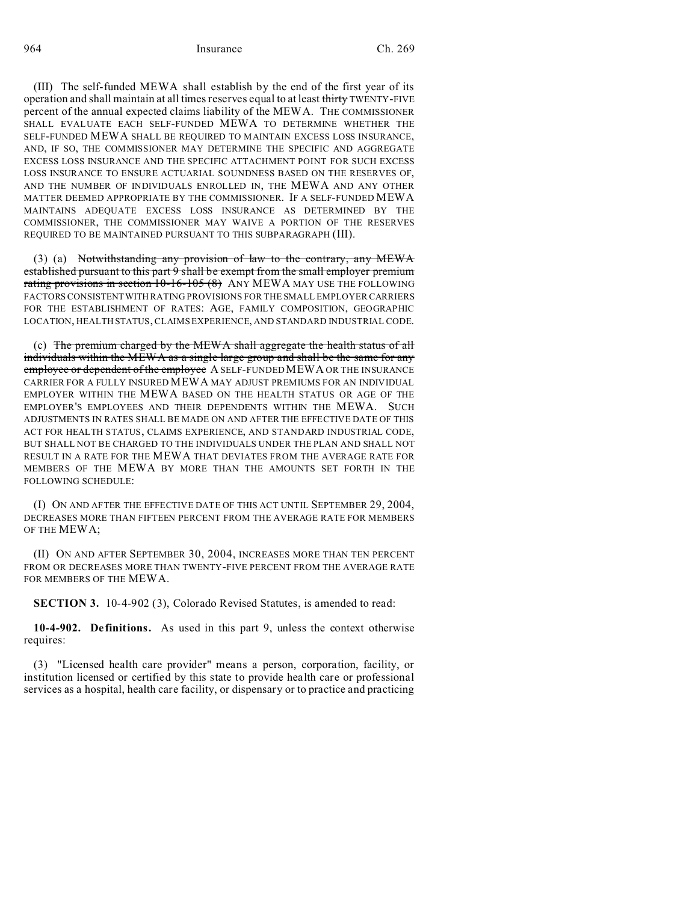964 Insurance Ch. 269

(III) The self-funded MEWA shall establish by the end of the first year of its operation and shall maintain at all times reserves equal to at least thirty TWENTY-FIVE percent of the annual expected claims liability of the MEWA. THE COMMISSIONER SHALL EVALUATE EACH SELF-FUNDED MEWA TO DETERMINE WHETHER THE SELF-FUNDED MEWA SHALL BE REQUIRED TO MAINTAIN EXCESS LOSS INSURANCE, AND, IF SO, THE COMMISSIONER MAY DETERMINE THE SPECIFIC AND AGGREGATE EXCESS LOSS INSURANCE AND THE SPECIFIC ATTACHMENT POINT FOR SUCH EXCESS LOSS INSURANCE TO ENSURE ACTUARIAL SOUNDNESS BASED ON THE RESERVES OF, AND THE NUMBER OF INDIVIDUALS ENROLLED IN, THE MEWA AND ANY OTHER MATTER DEEMED APPROPRIATE BY THE COMMISSIONER. IF A SELF-FUNDED MEWA MAINTAINS ADEQUATE EXCESS LOSS INSURANCE AS DETERMINED BY THE COMMISSIONER, THE COMMISSIONER MAY WAIVE A PORTION OF THE RESERVES REQUIRED TO BE MAINTAINED PURSUANT TO THIS SUBPARAGRAPH (III).

(3) (a) Notwithstanding any provision of law to the contrary, any MEWA established pursuant to this part 9 shall be exempt from the small employer premium rating provisions in section 10-16-105 (8) ANY MEWA MAY USE THE FOLLOWING FACTORS CONSISTENTWITH RATING PROVISIONS FOR THE SMALL EMPLOYER CARRIERS FOR THE ESTABLISHMENT OF RATES: AGE, FAMILY COMPOSITION, GEOGRAPHIC LOCATION, HEALTH STATUS, CLAIMS EXPERIENCE, AND STANDARD INDUSTRIAL CODE.

(c) The premium charged by the MEWA shall aggregate the health status of all individuals within the MEWA as a single large group and shall be the same for any employee or dependent of the employee A SELF-FUNDED MEWA OR THE INSURANCE CARRIER FOR A FULLY INSURED MEWA MAY ADJUST PREMIUMS FOR AN INDIVIDUAL EMPLOYER WITHIN THE MEWA BASED ON THE HEALTH STATUS OR AGE OF THE EMPLOYER'S EMPLOYEES AND THEIR DEPENDENTS WITHIN THE MEWA. SUCH ADJUSTMENTS IN RATES SHALL BE MADE ON AND AFTER THE EFFECTIVE DATE OF THIS ACT FOR HEALTH STATUS, CLAIMS EXPERIENCE, AND STANDARD INDUSTRIAL CODE, BUT SHALL NOT BE CHARGED TO THE INDIVIDUALS UNDER THE PLAN AND SHALL NOT RESULT IN A RATE FOR THE MEWA THAT DEVIATES FROM THE AVERAGE RATE FOR MEMBERS OF THE MEWA BY MORE THAN THE AMOUNTS SET FORTH IN THE FOLLOWING SCHEDULE:

(I) ON AND AFTER THE EFFECTIVE DATE OF THIS ACT UNTIL SEPTEMBER 29, 2004, DECREASES MORE THAN FIFTEEN PERCENT FROM THE AVERAGE RATE FOR MEMBERS OF THE MEWA;

(II) ON AND AFTER SEPTEMBER 30, 2004, INCREASES MORE THAN TEN PERCENT FROM OR DECREASES MORE THAN TWENTY-FIVE PERCENT FROM THE AVERAGE RATE FOR MEMBERS OF THE MEWA.

**SECTION 3.** 10-4-902 (3), Colorado Revised Statutes, is amended to read:

**10-4-902. De finitions.** As used in this part 9, unless the context otherwise requires:

(3) "Licensed health care provider" means a person, corporation, facility, or institution licensed or certified by this state to provide health care or professional services as a hospital, health care facility, or dispensary or to practice and practicing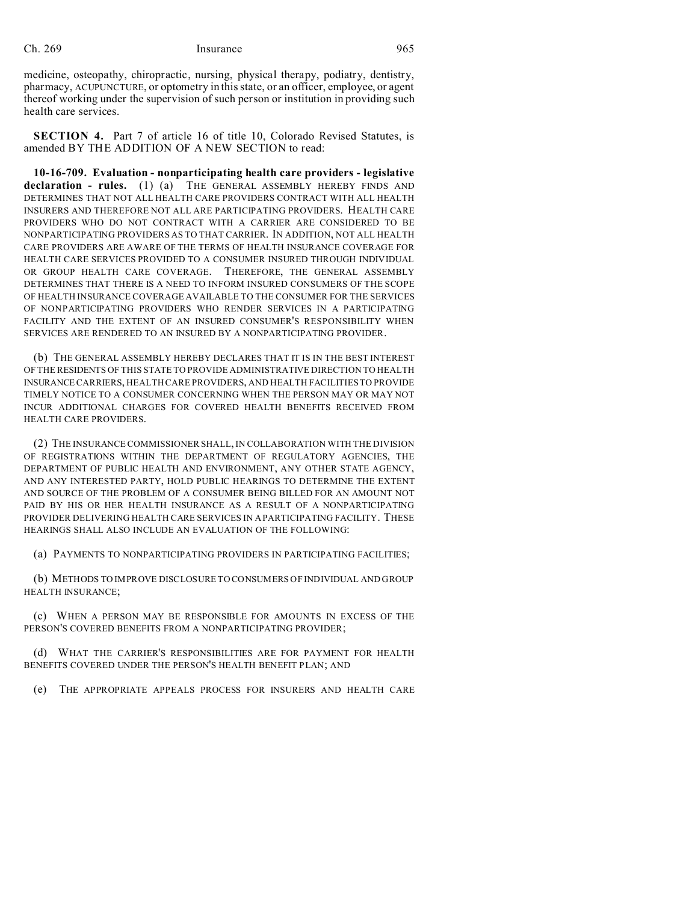medicine, osteopathy, chiropractic, nursing, physical therapy, podiatry, dentistry, pharmacy, ACUPUNCTURE, or optometry in this state, or an officer, employee, or agent thereof working under the supervision of such person or institution in providing such health care services.

**SECTION 4.** Part 7 of article 16 of title 10, Colorado Revised Statutes, is amended BY THE ADDITION OF A NEW SECTION to read:

**10-16-709. Evaluation - nonparticipating health care providers - legislative declaration - rules.** (1) (a) THE GENERAL ASSEMBLY HEREBY FINDS AND DETERMINES THAT NOT ALL HEALTH CARE PROVIDERS CONTRACT WITH ALL HEALTH INSURERS AND THEREFORE NOT ALL ARE PARTICIPATING PROVIDERS. HEALTH CARE PROVIDERS WHO DO NOT CONTRACT WITH A CARRIER ARE CONSIDERED TO BE NONPARTICIPATING PROVIDERS AS TO THAT CARRIER. IN ADDITION, NOT ALL HEALTH CARE PROVIDERS ARE AWARE OF THE TERMS OF HEALTH INSURANCE COVERAGE FOR HEALTH CARE SERVICES PROVIDED TO A CONSUMER INSURED THROUGH INDIVIDUAL OR GROUP HEALTH CARE COVERAGE. THEREFORE, THE GENERAL ASSEMBLY DETERMINES THAT THERE IS A NEED TO INFORM INSURED CONSUMERS OF THE SCOPE OF HEALTH INSURANCE COVERAGE AVAILABLE TO THE CONSUMER FOR THE SERVICES OF NONPARTICIPATING PROVIDERS WHO RENDER SERVICES IN A PARTICIPATING FACILITY AND THE EXTENT OF AN INSURED CONSUMER'S RESPONSIBILITY WHEN SERVICES ARE RENDERED TO AN INSURED BY A NONPARTICIPATING PROVIDER.

(b) THE GENERAL ASSEMBLY HEREBY DECLARES THAT IT IS IN THE BEST INTEREST OF THE RESIDENTS OF THIS STATE TO PROVIDE ADMINISTRATIVE DIRECTION TO HEALTH INSURANCE CARRIERS, HEALTH CARE PROVIDERS, AND HEALTH FACILITIES TO PROVIDE TIMELY NOTICE TO A CONSUMER CONCERNING WHEN THE PERSON MAY OR MAY NOT INCUR ADDITIONAL CHARGES FOR COVERED HEALTH BENEFITS RECEIVED FROM HEALTH CARE PROVIDERS.

(2) THE INSURANCE COMMISSIONER SHALL, IN COLLABORATION WITH THE DIVISION OF REGISTRATIONS WITHIN THE DEPARTMENT OF REGULATORY AGENCIES, THE DEPARTMENT OF PUBLIC HEALTH AND ENVIRONMENT, ANY OTHER STATE AGENCY, AND ANY INTERESTED PARTY, HOLD PUBLIC HEARINGS TO DETERMINE THE EXTENT AND SOURCE OF THE PROBLEM OF A CONSUMER BEING BILLED FOR AN AMOUNT NOT PAID BY HIS OR HER HEALTH INSURANCE AS A RESULT OF A NONPARTICIPATING PROVIDER DELIVERING HEALTH CARE SERVICES IN A PARTICIPATING FACILITY. THESE HEARINGS SHALL ALSO INCLUDE AN EVALUATION OF THE FOLLOWING:

(a) PAYMENTS TO NONPARTICIPATING PROVIDERS IN PARTICIPATING FACILITIES;

(b) METHODS TO IMPROVE DISCLOSURE TO CONSUMERS OF INDIVIDUAL AND GROUP HEALTH INSURANCE;

(c) WHEN A PERSON MAY BE RESPONSIBLE FOR AMOUNTS IN EXCESS OF THE PERSON'S COVERED BENEFITS FROM A NONPARTICIPATING PROVIDER;

(d) WHAT THE CARRIER'S RESPONSIBILITIES ARE FOR PAYMENT FOR HEALTH BENEFITS COVERED UNDER THE PERSON'S HEALTH BENEFIT PLAN; AND

(e) THE APPROPRIATE APPEALS PROCESS FOR INSURERS AND HEALTH CARE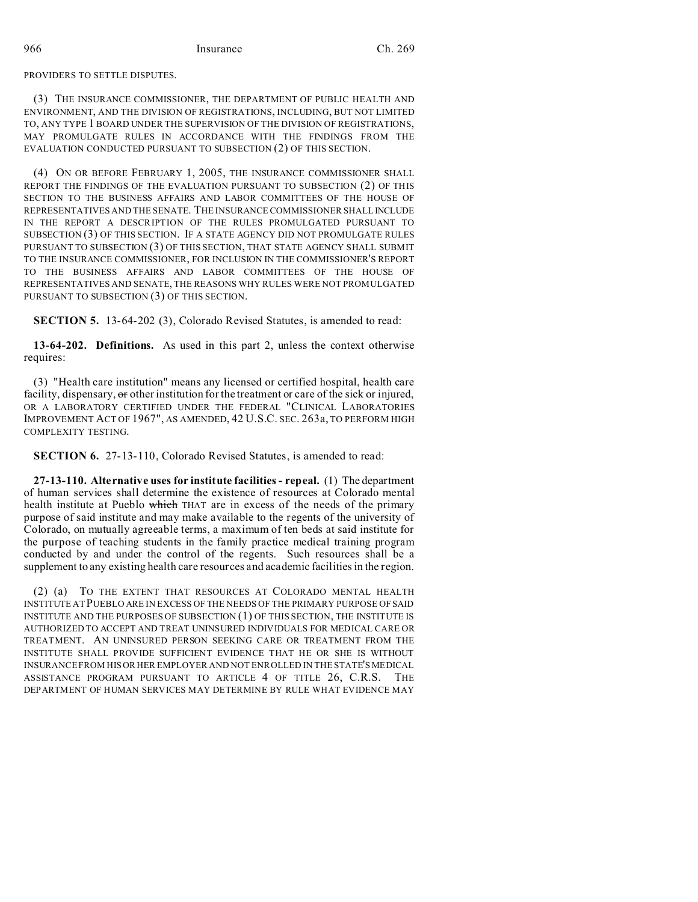#### PROVIDERS TO SETTLE DISPUTES.

(3) THE INSURANCE COMMISSIONER, THE DEPARTMENT OF PUBLIC HEALTH AND ENVIRONMENT, AND THE DIVISION OF REGISTRATIONS, INCLUDING, BUT NOT LIMITED TO, ANY TYPE 1 BOARD UNDER THE SUPERVISION OF THE DIVISION OF REGISTRATIONS, MAY PROMULGATE RULES IN ACCORDANCE WITH THE FINDINGS FROM THE EVALUATION CONDUCTED PURSUANT TO SUBSECTION (2) OF THIS SECTION.

(4) ON OR BEFORE FEBRUARY 1, 2005, THE INSURANCE COMMISSIONER SHALL REPORT THE FINDINGS OF THE EVALUATION PURSUANT TO SUBSECTION (2) OF THIS SECTION TO THE BUSINESS AFFAIRS AND LABOR COMMITTEES OF THE HOUSE OF REPRESENTATIVES AND THE SENATE. THE INSURANCE COMMISSIONER SHALL INCLUDE IN THE REPORT A DESCRIPTION OF THE RULES PROMULGATED PURSUANT TO SUBSECTION (3) OF THIS SECTION. IF A STATE AGENCY DID NOT PROMULGATE RULES PURSUANT TO SUBSECTION (3) OF THIS SECTION, THAT STATE AGENCY SHALL SUBMIT TO THE INSURANCE COMMISSIONER, FOR INCLUSION IN THE COMMISSIONER'S REPORT TO THE BUSINESS AFFAIRS AND LABOR COMMITTEES OF THE HOUSE OF REPRESENTATIVES AND SENATE, THE REASONS WHY RULES WERE NOT PROMULGATED PURSUANT TO SUBSECTION (3) OF THIS SECTION.

**SECTION 5.** 13-64-202 (3), Colorado Revised Statutes, is amended to read:

**13-64-202. Definitions.** As used in this part 2, unless the context otherwise requires:

(3) "Health care institution" means any licensed or certified hospital, health care facility, dispensary, or other institution for the treatment or care of the sick or injured, OR A LABORATORY CERTIFIED UNDER THE FEDERAL "CLINICAL LABORATORIES IMPROVEMENT ACT OF 1967", AS AMENDED, 42 U.S.C. SEC. 263a, TO PERFORM HIGH COMPLEXITY TESTING.

**SECTION 6.** 27-13-110, Colorado Revised Statutes, is amended to read:

**27-13-110. Alternative uses for institute facilities - repeal.** (1) The department of human services shall determine the existence of resources at Colorado mental health institute at Pueblo which THAT are in excess of the needs of the primary purpose of said institute and may make available to the regents of the university of Colorado, on mutually agreeable terms, a maximum of ten beds at said institute for the purpose of teaching students in the family practice medical training program conducted by and under the control of the regents. Such resources shall be a supplement to any existing health care resources and academic facilities in the region.

(2) (a) TO THE EXTENT THAT RESOURCES AT COLORADO MENTAL HEALTH INSTITUTE AT PUEBLO ARE IN EXCESS OF THE NEEDS OF THE PRIMARY PURPOSE OF SAID INSTITUTE AND THE PURPOSES OF SUBSECTION (1) OF THIS SECTION, THE INSTITUTE IS AUTHORIZED TO ACCEPT AND TREAT UNINSURED INDIVIDUALS FOR MEDICAL CARE OR TREATMENT. AN UNINSURED PERSON SEEKING CARE OR TREATMENT FROM THE INSTITUTE SHALL PROVIDE SUFFICIENT EVIDENCE THAT HE OR SHE IS WITHOUT INSURANCE FROM HISOR HER EMPLOYER AND NOT ENROLLED IN THE STATE'S MEDICAL ASSISTANCE PROGRAM PURSUANT TO ARTICLE 4 OF TITLE 26, C.R.S. THE DEPARTMENT OF HUMAN SERVICES MAY DETERMINE BY RULE WHAT EVIDENCE MAY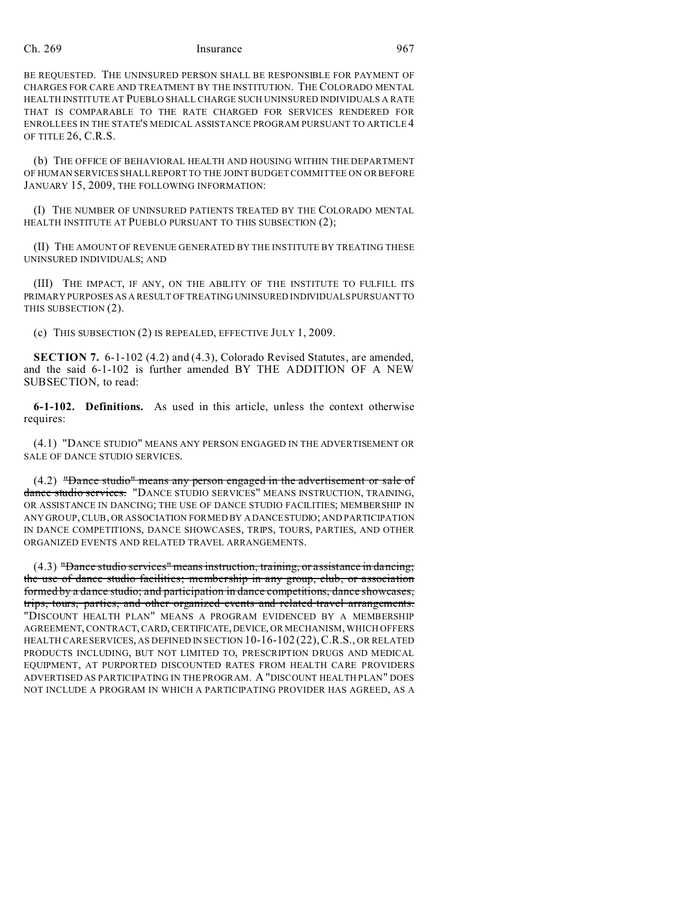## Ch. 269 Insurance 967

BE REQUESTED. THE UNINSURED PERSON SHALL BE RESPONSIBLE FOR PAYMENT OF CHARGES FOR CARE AND TREATMENT BY THE INSTITUTION. THE COLORADO MENTAL HEALTH INSTITUTE AT PUEBLO SHALL CHARGE SUCH UNINSURED INDIVIDUALS A RATE THAT IS COMPARABLE TO THE RATE CHARGED FOR SERVICES RENDERED FOR ENROLLEES IN THE STATE'S MEDICAL ASSISTANCE PROGRAM PURSUANT TO ARTICLE 4 OF TITLE 26, C.R.S.

(b) THE OFFICE OF BEHAVIORAL HEALTH AND HOUSING WITHIN THE DEPARTMENT OF HUMAN SERVICES SHALL REPORT TO THE JOINT BUDGET COMMITTEE ON OR BEFORE JANUARY 15, 2009, THE FOLLOWING INFORMATION:

(I) THE NUMBER OF UNINSURED PATIENTS TREATED BY THE COLORADO MENTAL HEALTH INSTITUTE AT PUEBLO PURSUANT TO THIS SUBSECTION (2);

(II) THE AMOUNT OF REVENUE GENERATED BY THE INSTITUTE BY TREATING THESE UNINSURED INDIVIDUALS; AND

(III) THE IMPACT, IF ANY, ON THE ABILITY OF THE INSTITUTE TO FULFILL ITS PRIMARY PURPOSES AS A RESULT OF TREATING UNINSURED INDIVIDUALS PURSUANT TO THIS SUBSECTION (2).

(c) THIS SUBSECTION (2) IS REPEALED, EFFECTIVE JULY 1, 2009.

**SECTION 7.** 6-1-102 (4.2) and (4.3), Colorado Revised Statutes, are amended, and the said 6-1-102 is further amended BY THE ADDITION OF A NEW SUBSECTION, to read:

**6-1-102. Definitions.** As used in this article, unless the context otherwise requires:

(4.1) "DANCE STUDIO" MEANS ANY PERSON ENGAGED IN THE ADVERTISEMENT OR SALE OF DANCE STUDIO SERVICES.

(4.2) "Dance studio" means any person engaged in the advertisement or sale of dance studio services. "DANCE STUDIO SERVICES" MEANS INSTRUCTION, TRAINING, OR ASSISTANCE IN DANCING; THE USE OF DANCE STUDIO FACILITIES; MEMBERSHIP IN ANY GROUP, CLUB, OR ASSOCIATION FORMED BY A DANCESTUDIO; AND PARTICIPATION IN DANCE COMPETITIONS, DANCE SHOWCASES, TRIPS, TOURS, PARTIES, AND OTHER ORGANIZED EVENTS AND RELATED TRAVEL ARRANGEMENTS.

(4.3) "Dance studio services" means instruction, training, or assistance in dancing; the use of dance studio facilities; membership in any group, club, or association formed by a dance studio; and participation in dance competitions, dance showcases, trips, tours, parties, and other organized events and related travel arrangements. "DISCOUNT HEALTH PLAN" MEANS A PROGRAM EVIDENCED BY A MEMBERSHIP AGREEMENT, CONTRACT, CARD, CERTIFICATE,DEVICE, OR MECHANISM, WHICH OFFERS HEALTH CARE SERVICES, AS DEFINED IN SECTION 10-16-102 (22), C.R.S., OR RELATED PRODUCTS INCLUDING, BUT NOT LIMITED TO, PRESCRIPTION DRUGS AND MEDICAL EQUIPMENT, AT PURPORTED DISCOUNTED RATES FROM HEALTH CARE PROVIDERS ADVERTISED AS PARTICIPATING IN THE PROGRAM. A "DISCOUNT HEALTH PLAN" DOES NOT INCLUDE A PROGRAM IN WHICH A PARTICIPATING PROVIDER HAS AGREED, AS A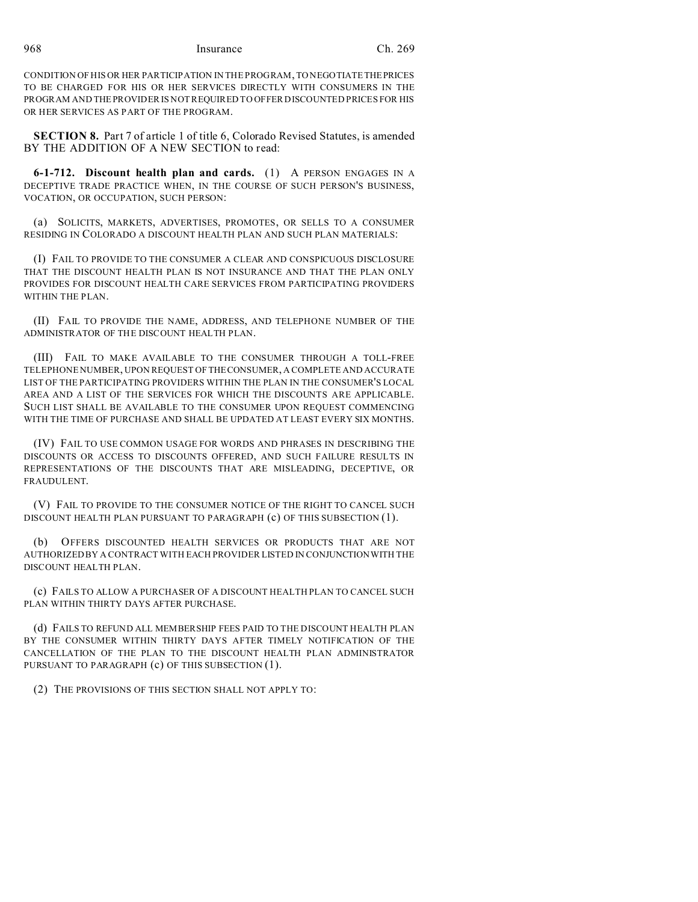968 Insurance Ch. 269

CONDITION OF HIS OR HER PARTICIPATION IN THE PROGRAM, TO NEGOTIATETHEPRICES TO BE CHARGED FOR HIS OR HER SERVICES DIRECTLY WITH CONSUMERS IN THE PROGRAM AND THE PROVIDER IS NOT REQUIRED TO OFFER DISCOUNTED PRICES FOR HIS OR HER SERVICES AS PART OF THE PROGRAM.

**SECTION 8.** Part 7 of article 1 of title 6, Colorado Revised Statutes, is amended BY THE ADDITION OF A NEW SECTION to read:

**6-1-712. Discount health plan and cards.** (1) A PERSON ENGAGES IN A DECEPTIVE TRADE PRACTICE WHEN, IN THE COURSE OF SUCH PERSON'S BUSINESS, VOCATION, OR OCCUPATION, SUCH PERSON:

(a) SOLICITS, MARKETS, ADVERTISES, PROMOTES, OR SELLS TO A CONSUMER RESIDING IN COLORADO A DISCOUNT HEALTH PLAN AND SUCH PLAN MATERIALS:

(I) FAIL TO PROVIDE TO THE CONSUMER A CLEAR AND CONSPICUOUS DISCLOSURE THAT THE DISCOUNT HEALTH PLAN IS NOT INSURANCE AND THAT THE PLAN ONLY PROVIDES FOR DISCOUNT HEALTH CARE SERVICES FROM PARTICIPATING PROVIDERS WITHIN THE PLAN.

(II) FAIL TO PROVIDE THE NAME, ADDRESS, AND TELEPHONE NUMBER OF THE ADMINISTRATOR OF THE DISCOUNT HEALTH PLAN.

(III) FAIL TO MAKE AVAILABLE TO THE CONSUMER THROUGH A TOLL-FREE TELEPHONE NUMBER, UPON REQUEST OF THECONSUMER, A COMPLETE AND ACCURATE LIST OF THE PARTICIPATING PROVIDERS WITHIN THE PLAN IN THE CONSUMER'S LOCAL AREA AND A LIST OF THE SERVICES FOR WHICH THE DISCOUNTS ARE APPLICABLE. SUCH LIST SHALL BE AVAILABLE TO THE CONSUMER UPON REQUEST COMMENCING WITH THE TIME OF PURCHASE AND SHALL BE UPDATED AT LEAST EVERY SIX MONTHS.

(IV) FAIL TO USE COMMON USAGE FOR WORDS AND PHRASES IN DESCRIBING THE DISCOUNTS OR ACCESS TO DISCOUNTS OFFERED, AND SUCH FAILURE RESULTS IN REPRESENTATIONS OF THE DISCOUNTS THAT ARE MISLEADING, DECEPTIVE, OR FRAUDULENT.

(V) FAIL TO PROVIDE TO THE CONSUMER NOTICE OF THE RIGHT TO CANCEL SUCH DISCOUNT HEALTH PLAN PURSUANT TO PARAGRAPH (c) OF THIS SUBSECTION (1).

(b) OFFERS DISCOUNTED HEALTH SERVICES OR PRODUCTS THAT ARE NOT AUTHORIZED BY A CONTRACT WITH EACH PROVIDER LISTED IN CONJUNCTIONWITH THE DISCOUNT HEALTH PLAN.

(c) FAILS TO ALLOW A PURCHASER OF A DISCOUNT HEALTH PLAN TO CANCEL SUCH PLAN WITHIN THIRTY DAYS AFTER PURCHASE.

(d) FAILS TO REFUND ALL MEMBERSHIP FEES PAID TO THE DISCOUNT HEALTH PLAN BY THE CONSUMER WITHIN THIRTY DAYS AFTER TIMELY NOTIFICATION OF THE CANCELLATION OF THE PLAN TO THE DISCOUNT HEALTH PLAN ADMINISTRATOR PURSUANT TO PARAGRAPH (c) OF THIS SUBSECTION (1).

(2) THE PROVISIONS OF THIS SECTION SHALL NOT APPLY TO: